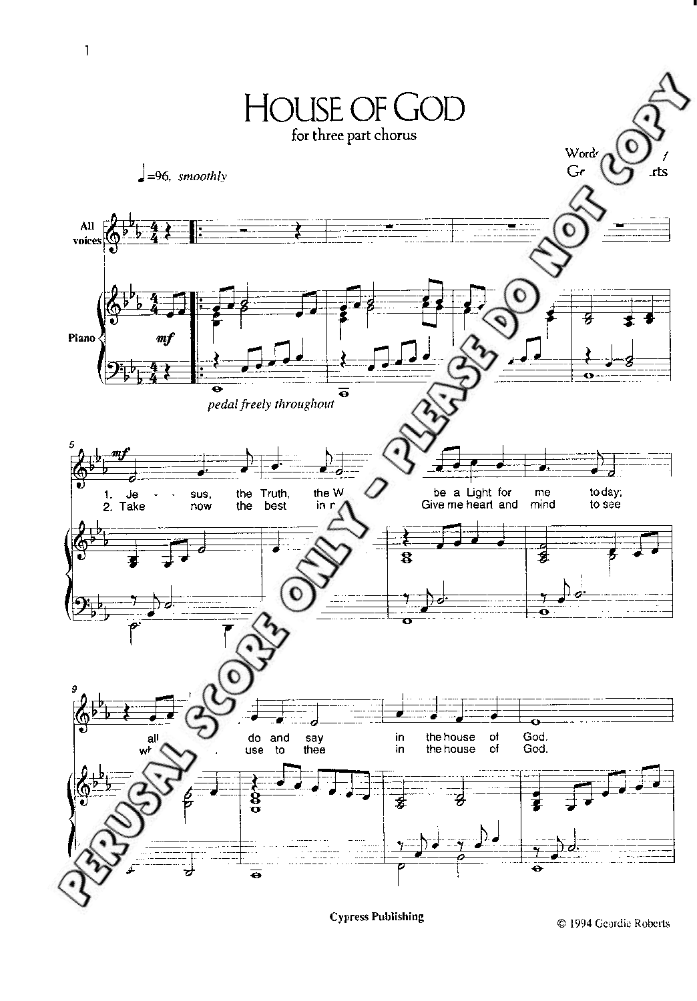

**Cypress Publishing** 

C 1994 Geordie Roberts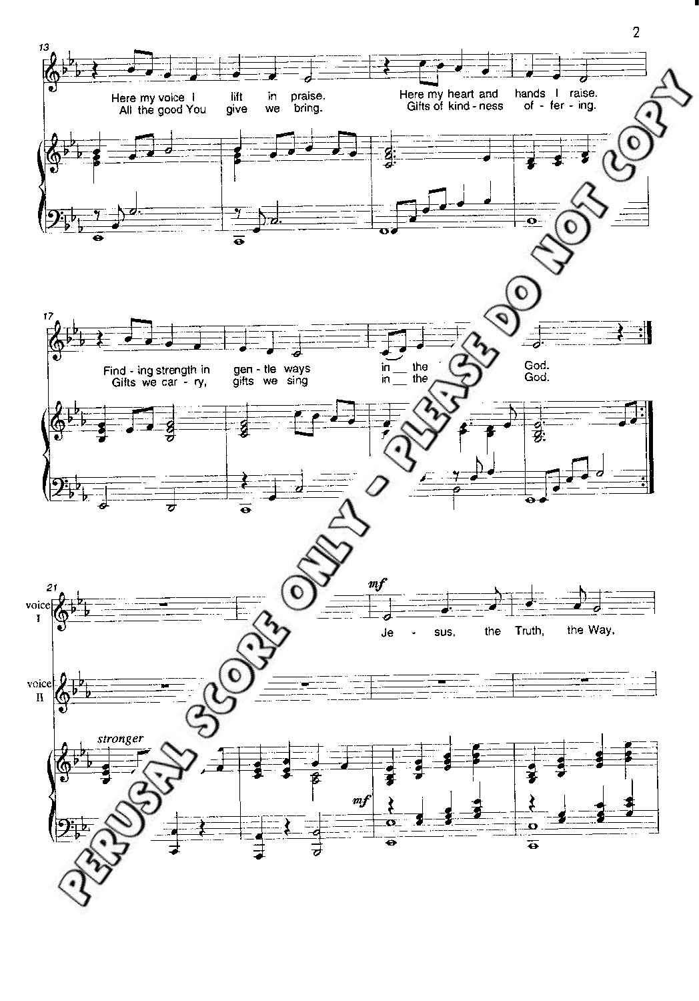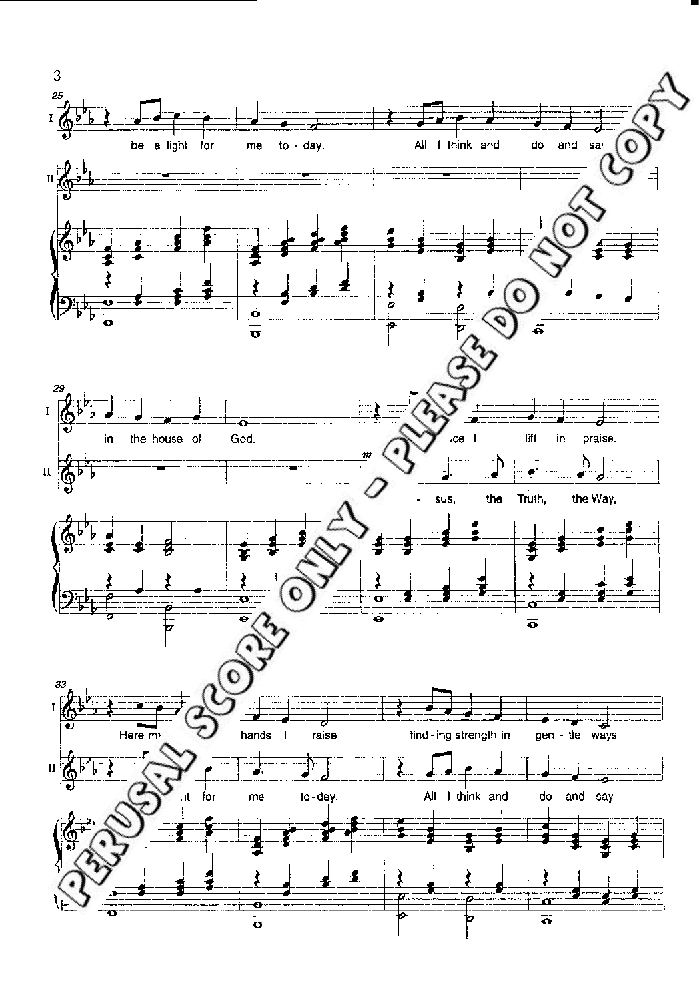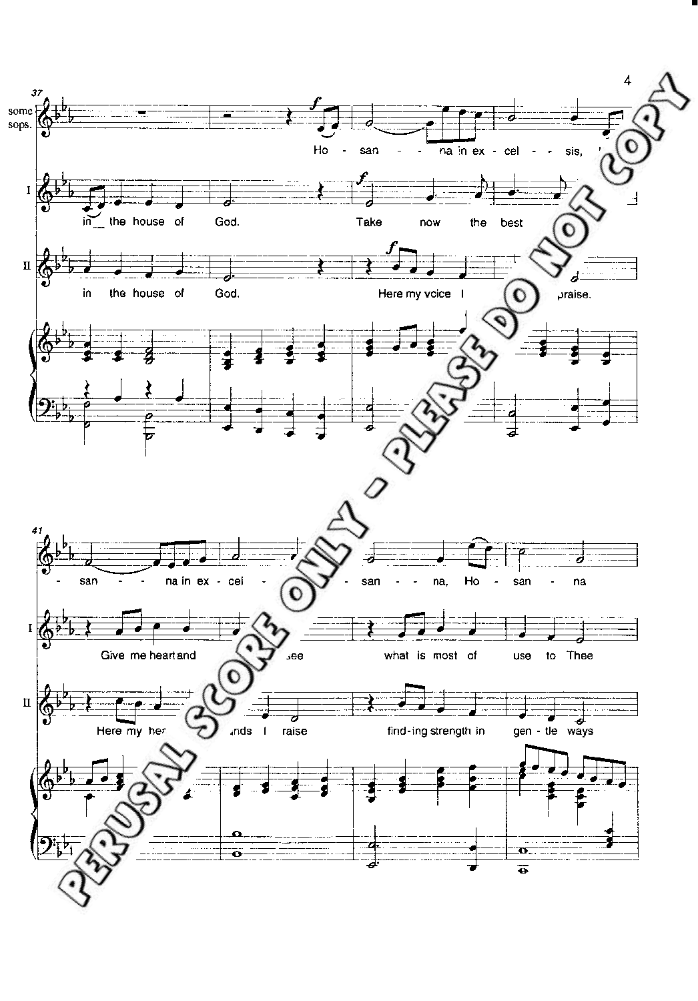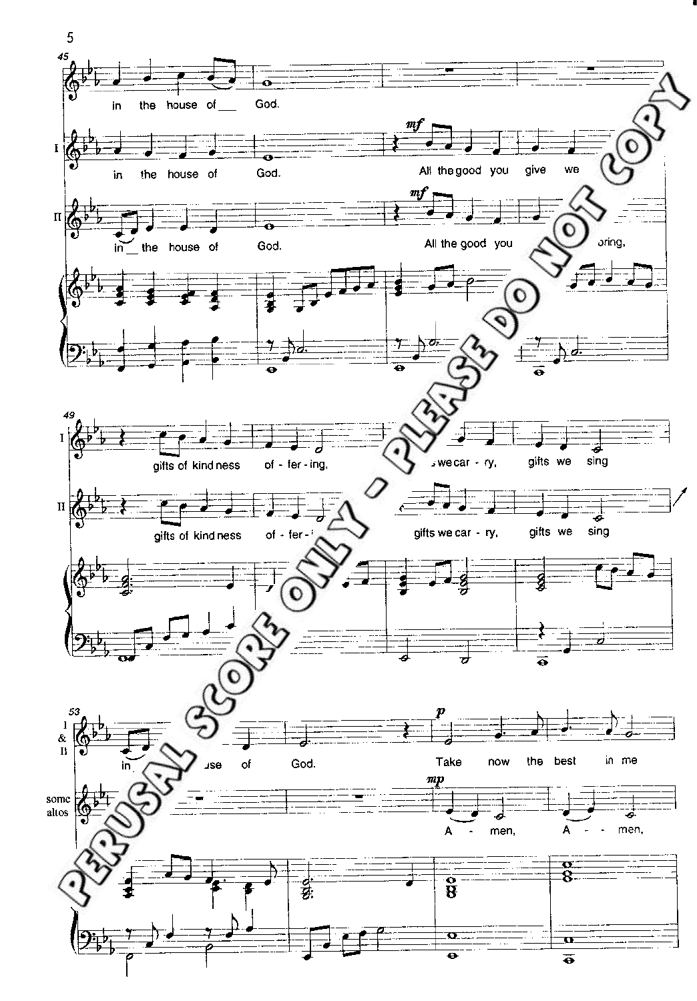